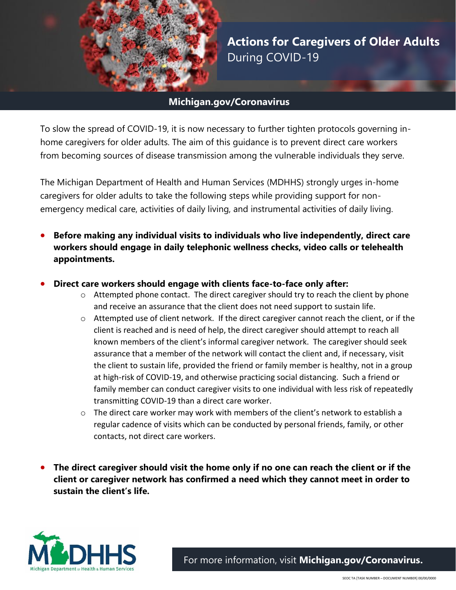

**Actions for Caregivers of Older Adults** During COVID-19

## **Michigan.gov/Coronavirus**

To slow the spread of COVID-19, it is now necessary to further tighten protocols governing inhome caregivers for older adults. The aim of this guidance is to prevent direct care workers from becoming sources of disease transmission among the vulnerable individuals they serve.

The Michigan Department of Health and Human Services (MDHHS) strongly urges in-home caregivers for older adults to take the following steps while providing support for nonemergency medical care, activities of daily living, and instrumental activities of daily living.

- **Before making any individual visits to individuals who live independently, direct care workers should engage in daily telephonic wellness checks, video calls or telehealth appointments.**
- **Direct care workers should engage with clients face-to-face only after:** 
	- o Attempted phone contact. The direct caregiver should try to reach the client by phone and receive an assurance that the client does not need support to sustain life.
	- $\circ$  Attempted use of client network. If the direct caregiver cannot reach the client, or if the client is reached and is need of help, the direct caregiver should attempt to reach all known members of the client's informal caregiver network. The caregiver should seek assurance that a member of the network will contact the client and, if necessary, visit the client to sustain life, provided the friend or family member is healthy, not in a group at high-risk of COVID-19, and otherwise practicing social distancing. Such a friend or family member can conduct caregiver visits to one individual with less risk of repeatedly transmitting COVID-19 than a direct care worker.
	- $\circ$  The direct care worker may work with members of the client's network to establish a regular cadence of visits which can be conducted by personal friends, family, or other contacts, not direct care workers.
- **The direct caregiver should visit the home only if no one can reach the client or if the client or caregiver network has confirmed a need which they cannot meet in order to sustain the client's life.**



For more information, visit **[Michigan.gov/Coronavirus.](http://www.michigan.gov/Coronavirus)**